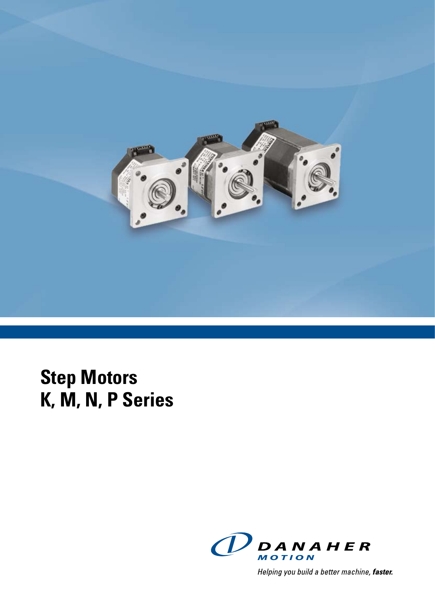

# **Step Motors K, M, N, P Series**



Helping you build a better machine, faster.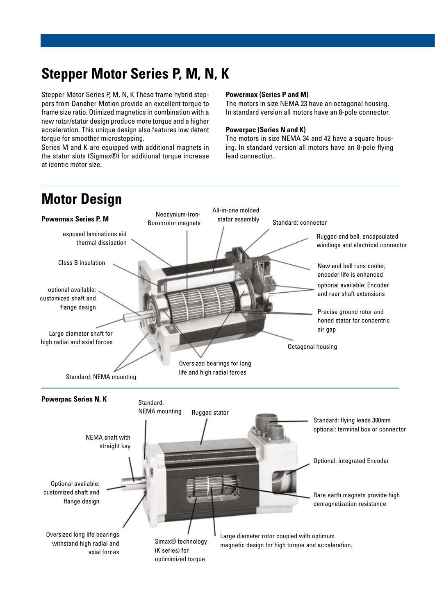### **Stepper Motor Series P, M, N, K**

Stepper Motor Series P, M, N, K These frame hybrid steppers from Danaher Motion provide an excellent torque to frame size ratio. Otimized magnetics in combination with a new rotor/stator design produce more torque and a higher acceleration. This unique design also features low detent torque for smoother microstepping.

Series M and K are equipped with additional magnets in the stator slots (Sigmax®) for additional torque increase at identic motor size.

### **Powermax (Series P and M)**

The motors in size NEMA 23 have an octagonal housing. In standard version all motors have an 8-pole connector.

### **Powerpac (Series N and K)**

The motors in size NEMA 34 and 42 have a square housing. In standard version all motors have an 8-pole flying lead connection.

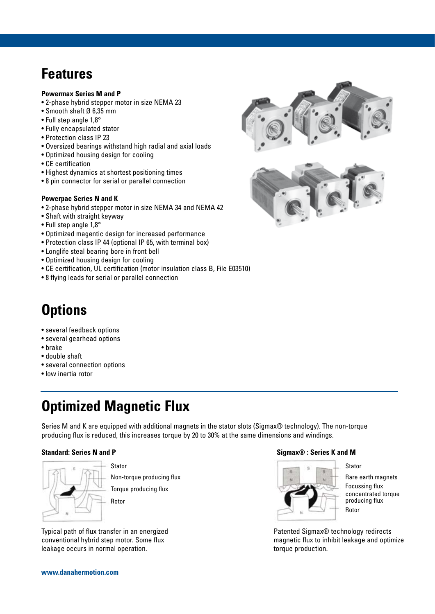### **Features**

### **Powermax Series M and P**

- 2-phase hybrid stepper motor in size NEMA 23
- Smooth shaft Ø 6,35 mm
- Full step angle 1,8°
- Fully encapsulated stator
- Protection class IP 23
- Oversized bearings withstand high radial and axial loads
- Optimized housing design for cooling
- CE certification
- Highest dynamics at shortest positioning times
- 8 pin connector for serial or parallel connection

### **Powerpac Series N and K**

- 2-phase hybrid stepper motor in size NEMA 34 and NEMA 42
- Shaft with straight keyway
- Full step angle 1,8°
- Optimized magentic design for increased performance
- Protection class IP 44 (optional IP 65, with terminal box)
- Longlife steal bearing bore in front bell
- Optimized housing design for cooling
- CE certification, UL certification (motor insulation class B, File E03510)
- 8 flying leads for serial or parallel connection

### **Options**

- several feedback options
- several gearhead options
- brake
- double shaft
- several connection options
- low inertia rotor

### **Optimized Magnetic Flux**

Series M and K are equipped with additional magnets in the stator slots (Sigmax® technology). The non-torque producing flux is reduced, this increases torque by 20 to 30% at the same dimensions and windings.



Stator

Non-torque producing flux

Torque producing flux

Rotor

Typical path of flux transfer in an energized conventional hybrid step motor. Some flux leakage occurs in normal operation.

### **Standard: Series N and P**  $\qquad \qquad$  Standard: Series K and M



**Stator** Rare earth magnets Focussing flux concentrated torque producing flux Rotor

Patented Sigmax® technology redirects magnetic flux to inhibit leakage and optimize torque production.



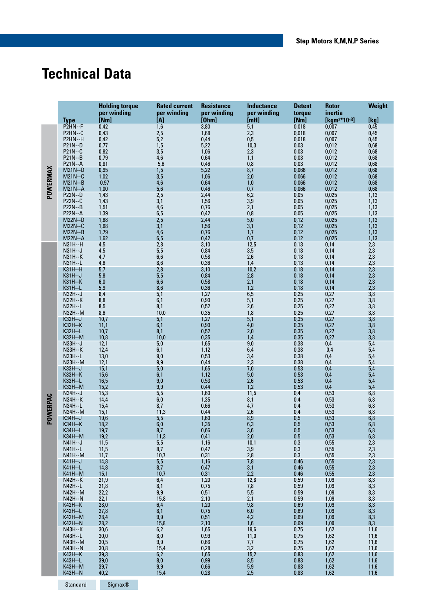### **Technical Data**

|          |                                  | <b>Holding torque</b><br>per winding | <b>Rated current</b><br>per winding | <b>Resistance</b><br>per winding | <b>Inductance</b><br>per winding | <b>Detent</b><br>torque | <b>Rotor</b><br>inertia | Weight                                 |
|----------|----------------------------------|--------------------------------------|-------------------------------------|----------------------------------|----------------------------------|-------------------------|-------------------------|----------------------------------------|
|          | Type                             | [Nm]                                 | [A]                                 | [Ohm]                            | [mH]                             | [Nm]                    | $[kgm^{2*}10^{-3}]$     | [kg]                                   |
|          | P2HN--F                          | 0,42                                 | 1,6                                 | 3,80                             | 5,1                              | 0,018                   | 0,007                   | 0,45                                   |
|          | P2HN--C                          | 0,43                                 | 2,5                                 | 1,68                             | 2,3                              | 0,018                   | 0,007                   | 0,45                                   |
|          | P2HN--H                          | 0,42                                 | 5,2                                 | 0,44                             | 0,5                              | 0,018                   | 0,007                   | 0,45                                   |
|          | P21N--D                          | 0,77                                 | 1,5                                 | 5,22                             | 10,3                             | 0,03                    | 0,012                   | 0,68                                   |
|          | P21N--C                          | 0,82                                 | 3,5                                 | 1,06                             | 2,3                              | 0,03                    | 0,012                   | 0,68                                   |
|          | P21N--B<br>P21N--A               | 0,79<br>0,81                         | 4,6<br>5,6                          | 0,64<br>0,46                     | 1,1<br>0,8                       | 0,03<br>0,03            | 0,012<br>0,012          | 0,68<br>0,68                           |
|          | $M21N-D$                         | 0,95                                 | 1,5                                 | 5,22                             | 8,7                              | 0,066                   | 0,012                   | 0,68                                   |
|          | $M21N-C$                         | 1,02                                 | 3,5                                 | 1,06                             | 2,0                              | 0,066                   | 0,012                   | 0,68                                   |
|          | $M21N-B$                         | 0,97                                 | 4,6                                 | 0,64                             | 1,0                              | 0,066                   | 0,012                   | 0,68                                   |
| POWERMAX | $M21N-A$                         | 1,00                                 | 5,6                                 | 0,46                             | 0,7                              | 0,066                   | 0,012                   | 0,68                                   |
|          | <b>P22N--D</b>                   | 1,43                                 | 2,5                                 | 2,44                             | 6,2                              | 0,05                    | 0,025                   | 1,13                                   |
|          | <b>P22N--C</b>                   | 1,43                                 | 3,1                                 | 1,56                             | 3,9                              | 0,05                    | 0,025                   | 1,13                                   |
|          | <b>P22N--B</b>                   | 1,51                                 | 4,6                                 | 0,76                             | 2,1                              | 0,05                    | 0,025                   | 1,13                                   |
|          | <b>P22N--A</b><br><b>M22N--D</b> | 1,39<br>1,68                         | 6,5<br>2,5                          | 0,42<br>2,44                     | 0,8<br>5,0                       | 0,05<br>0,12            | 0,025<br>0,025          | 1,13<br>1,13                           |
|          | M22N--C                          | 1,68                                 | 3,1                                 | 1,56                             | 3,1                              | 0,12                    | 0,025                   | 1,13                                   |
|          | <b>M22N--B</b>                   | 1,79                                 | 4,6                                 | 0,76                             | 1,7                              | 0,12                    | 0,025                   | 1,13                                   |
|          | $M22N-A$                         | 1,62                                 | 6,5                                 | 0,42                             | 0,7                              | 0,12                    | 0,025                   | 1,13                                   |
|          | $N31H - H$                       | 4,5                                  | 2,8                                 | 3,10                             | 12,5                             | 0,13                    | 0,14                    | 2,3                                    |
|          | N31H--J                          | 4,5                                  | 5,5                                 | 0,84                             | 3,5                              | 0,13                    | 0,14                    | 2,3                                    |
|          | <b>N31H--K</b>                   | 4,7                                  | 6,6                                 | 0,58                             | 2,6                              | 0,13                    | 0,14                    | $2,3$<br>$2,3$                         |
|          | N31H--L<br><b>K31H--H</b>        | 4,6<br>5,7                           | 8,6<br>2,8                          | 0,36<br>3,10                     | 1,4<br>10,2                      | 0,13<br>0,18            | 0,14<br>0,14            |                                        |
|          | K31H--J                          | 5,8                                  | 5,5                                 | 0,84                             | 2,8                              | 0,18                    | 0,14                    | $2,3$<br>$2,3$<br>$2,3$<br>$2,3$       |
|          | <b>K31H--K</b>                   | 6,0                                  | 6,6                                 | 0,58                             | 2,1                              | 0,18                    | 0,14                    |                                        |
|          | K31H--L                          | 5,9                                  | 8,6                                 | 0,36                             | 1,2                              | 0,18                    | 0,14                    |                                        |
|          | N32H--J                          | 8,4                                  | 5,1                                 | 1,27                             | 6,5                              | 0,25                    | 0,27                    | 3,8                                    |
|          | <b>N32H--K</b>                   | 8,8                                  | 6,1                                 | 0,90                             | 5,1                              | 0,25                    | 0,27                    | 3,8                                    |
|          | N32H--L<br>N32H--M               | 8,5                                  | 8,1<br>10,0                         | 0,52                             | 2,6                              | 0,25                    | 0,27                    | 3,8                                    |
|          | K32H--J                          | 8,6<br>10,7                          | 5,1                                 | 0,35<br>1,27                     | 1,8<br>5,1                       | 0,25<br>0,35            | 0,27<br>0,27            | 3,8<br>3,8                             |
|          | <b>K32H--K</b>                   | 11,1                                 | 6,1                                 | 0,90                             | 4,0                              | 0,35                    | 0,27                    | 3,8                                    |
|          | K32H--L                          | 10,7                                 | 8,1                                 | 0,52                             | 2,0                              | 0,35                    | 0,27                    | 3,8                                    |
|          | K32H--M                          | 10,8                                 | 10,0                                | 0,35                             | 1,4                              | 0,35                    | 0,27                    | 3,8                                    |
|          | N33H--J                          | 12,1                                 | 5,0                                 | 1,65                             | 9,0                              | 0,38                    | 0,4                     | 5,4                                    |
|          | <b>N33H--K</b>                   | 12,4                                 | 6,1                                 | 1,12                             | 6,4                              | 0,38                    | 0,4                     | 5,4                                    |
|          | N33H--L<br>N33H--M               | 13,0<br>12,1                         | 9,0<br>9,9                          | 0,53<br>0,44                     | 3,4<br>2,3                       | 0,38<br>0,38            | 0,4<br>0,4              | 5,4<br>5,4                             |
|          | K33H--J                          | 15,1                                 | 5,0                                 | 1,65                             | 7,0                              | 0,53                    | 0,4                     | 5,4                                    |
|          | <b>K33H--K</b>                   | 15,6                                 | 6,1                                 | 1,12                             | 5,0                              | 0,53                    | 0,4                     | 5,4                                    |
|          | K33H--L                          | 16,5                                 | 9,0                                 | 0,53                             | 2,6                              | 0,53                    | 0,4                     | 5,4                                    |
|          | <b>K33H--M</b>                   | 15,2                                 | 9,9                                 | 0,44                             | 1,2                              | 0,53                    | 0,4                     | 5,4                                    |
|          | N34H--J                          | 15,3                                 | 5,5                                 | 1,60                             | 11,5                             | 0,4                     | 0,53                    | 6,8                                    |
|          | <b>N34H--K</b><br>N34H--L        | 14,4<br>15,4                         | 6,0<br>8,7                          | 1,35<br>0,66                     | 8,1<br>4,7                       | 0,4<br>0,4              | 0,53<br>0,53            | 6,8<br>6,8                             |
|          | N34H--M                          | 15,1                                 | 11,3                                | 0,44                             | 2,6                              | 0,4                     | 0,53                    | 6,8                                    |
| POWERPAC | K34H--J                          | 19,6                                 | 5,5                                 | 1,60                             | 8,9                              | 0,5                     | 0,53                    | 6,8                                    |
|          | <b>K34H--K</b>                   | 18,2                                 | 6,0                                 | 1,35                             | 6,3                              | 0,5                     | 0,53                    | 6,8                                    |
|          | K34H--L                          | 19,7                                 | 8,7                                 | 0,66                             | 3,6                              | 0,5                     | 0,53                    | 6,8                                    |
|          | K34H--M                          | 19,2                                 | 11,3                                | 0,41                             | 2,0<br>10,1                      | 0,5<br>0,3              | 0,53                    | 6,8                                    |
|          | N41H--J<br>N41H--L               | 11,5<br>11,5                         | 5,5<br>8,7                          | 1,16<br>0,47                     | 3,9                              | 0,3                     | 0,55<br>0,55            |                                        |
|          | N41H--M                          | 11,7                                 | 10,7                                | 0,31                             | 2,8                              | 0,3                     | 0,55                    | 2,3<br>2,3<br>2,3<br>2,3<br>2,3<br>2,3 |
|          | K41H--J                          | 14,8                                 | 5,5                                 | 1,16                             | 7,8                              | 0,46                    | 0,55                    |                                        |
|          | <b>K41H--L</b>                   | 14,8                                 | 8,7                                 | 0,47                             | 3,1                              | 0,46                    | 0,55                    |                                        |
|          | <b>K41H--M</b>                   | 15,1                                 | 10,7                                | 0,31                             | 2,2                              | 0,46                    | 0,55                    |                                        |
|          | <b>N42H--K</b><br>N42H--L        | 21,9                                 | 6,4<br>8,1                          | 1,20<br>0,75                     | 12,8                             | 0,59                    | 1,09<br>1,09            | $\frac{8}{3}$                          |
|          | N42H--M                          | 21,8<br>22,2                         | $9,9$                               | 0,51                             | 7,8<br>5,5                       | 0,59<br>0,59            | 1,09                    |                                        |
|          | <b>N42H--N</b>                   | 22,1                                 | 15,8                                | 2,10                             | 2,1                              | 0,59                    | 1,09                    | $8,3$<br>$8,3$                         |
|          | <b>K42H--K</b>                   | 28,0                                 | 6,4                                 | 1,20                             | 9,8                              | 0,69                    | 1,09                    | 8,3                                    |
|          | K42H--L                          | 27,8                                 | 8,1                                 | 0,75                             | 6,0                              | 0,69                    | 1,09                    | $8,3$<br>$8,3$                         |
|          | <b>K42H--M</b>                   | 28,4                                 | 9,9                                 | 0,51                             | 4,2                              | 0,69                    | 1,09                    |                                        |
|          | <b>K42H--N</b><br><b>N43H--K</b> | 28,2                                 | 15,8<br>6,2                         | 2,10<br>1,65                     | 1,6                              | 0,69                    | 1,09<br>1,62            | 8,3                                    |
|          | N43H--L                          | 30,6<br>30,0                         | $_{\rm 8,0}$                        | 0,99                             | 19,6<br>11,0                     | 0,75<br>0,75            | 1,62                    | 11,6<br>11,6                           |
|          | N43H--M                          | 30,5                                 | 9,9                                 | 0,66                             | 7,7                              | 0,75                    | 1,62                    | 11,6                                   |
|          | <b>N43H--N</b>                   | 30,8                                 | 15,4                                | 0,28                             | 3,2                              | 0,75                    | 1,62                    | 11,6                                   |
|          | K43H--K                          | 39,3                                 | 6,2                                 | 1,65                             | 15,2                             | 0,83                    | 1,62                    | 11,6                                   |
|          | K43H--L                          | 39,0                                 | 8,0                                 | 0,99                             | 8,5                              | 0,83                    | 1,62                    | 11,6                                   |
|          | <b>K43H--M</b><br><b>K43H--N</b> | 39,7<br>40,2                         | $9,9$<br>15,4                       | 0,66<br>0,28                     | 5,9<br>2,5                       | 0,83<br>0,83            | 1,62<br>1,62            | 11,6<br>11,6                           |
|          |                                  |                                      |                                     |                                  |                                  |                         |                         |                                        |

Standard Sigmax®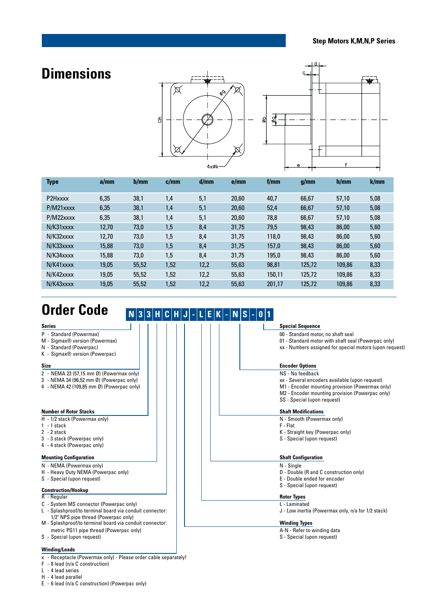### **Dimensions**





| <b>Type</b> | a/mm  | b/mm  | c/mm | d/mm | e/mm  | f/mm   | q/mm   | h/mm   | k/mm |
|-------------|-------|-------|------|------|-------|--------|--------|--------|------|
| P2Hxxxx     | 6,35  | 38,1  | 1,4  | 5,1  | 20,60 | 40,7   | 66,67  | 57,10  | 5,08 |
| P/M21xxxx   | 6,35  | 38,1  | 1,4  | 5,1  | 20.60 | 52,4   | 66,67  | 57,10  | 5,08 |
| P/M22xxxx   | 6,35  | 38,1  | 1,4  | 5,1  | 20,60 | 78,8   | 66,67  | 57,10  | 5,08 |
| N/K31xxxx   | 12.70 | 73,0  | 1,5  | 8,4  | 31,75 | 79,5   | 98,43  | 86,00  | 5,60 |
| N/K32xxxx   | 12.70 | 73,0  | 1,5  | 8,4  | 31,75 | 118,0  | 98.43  | 86.00  | 5,60 |
| N/K33xxxx   | 15.88 | 73,0  | 1,5  | 8,4  | 31,75 | 157,0  | 98,43  | 86,00  | 5,60 |
| N/K34xxxx   | 15,88 | 73,0  | 1,5  | 8,4  | 31,75 | 195,0  | 98,43  | 86,00  | 5,60 |
| N/K41xxxx   | 19.05 | 55,52 | 1,52 | 12,2 | 55,63 | 98,81  | 125,72 | 109,86 | 8,33 |
| N/K42xxxx   | 19.05 | 55,52 | 1,52 | 12,2 | 55,63 | 150,11 | 125,72 | 109.86 | 8,33 |
| N/K43xxxx   | 19.05 | 55,52 | 1,52 | 12,2 | 55,63 | 201,17 | 125,72 | 109,86 | 8,33 |

## **Order Code**

### $N|3|3|H|C|H|J|$  -  $|L|E|K|$  -  $N|S|$  -  $|0|1|$

| <b>Series</b>                                            | <b>Special Sequence</b>                                 |
|----------------------------------------------------------|---------------------------------------------------------|
| P - Standard (Powermax)                                  | 00 - Standard motor, no shaft seal                      |
| M - Sigmax® version (Powermax)                           | 01 - Standard motor with shaft seal (Powerpac only)     |
| N - Standard (Powerpac)                                  | xx - Numbers assigned for special motors (upon request) |
| K - Sigmax <sup>®</sup> version (Powerpac)               |                                                         |
| <b>Size</b>                                              | <b>Encoder Options</b>                                  |
| 2 - NEMA 23 (57,15 mm Ø) (Powermax only)                 | NS - No feedback                                        |
| 3 - NEMA 34 (96,52 mm Ø) (Powerpac only)                 | xx - Several encoders available (upon request)          |
| 4 - NEMA 42 (109,85 mm Ø) (Powerpac only)                | M1 - Encoder mounting provision (Powermax only)         |
|                                                          | M2 - Encoder mounting provision (Powerpac only)         |
|                                                          | SS - Special (upon request)                             |
|                                                          |                                                         |
| <b>Number of Rotor Stacks</b>                            | <b>Shaft Modifications</b>                              |
| H - 1/2 stack (Powermax only)                            | N - Smooth (Powermax only)                              |
| $1 - 1$ stack                                            | F - Flat                                                |
| $2 - 2$ stack                                            | K - Straight key (Powerpac only)                        |
| 3 - 3 stack (Powerpac only)                              | S - Special (upon request)                              |
| 4 - 4 stack (Powerpac only)                              |                                                         |
|                                                          |                                                         |
| <b>Mounting Configuration</b>                            | <b>Shaft Configuration</b>                              |
| N - NEMA (Powermax only)                                 | N - Single                                              |
| H - Heavy Duty NEMA (Powerpac only)                      | D - Double (R and C construction only)                  |
| S - Special (upon request)                               | E - Double ended for encoder                            |
|                                                          | S - Special (upon request)                              |
| <b>Construction/Hookup</b>                               |                                                         |
| $R - Regular$                                            | <b>Rotor Types</b>                                      |
| C - System MS connector (Powerpac only)                  | L - Laminated                                           |
| L - Splashproof/to terminal board via conduit connector: | J - Low inertia (Powermax only, n/a for 1/2 stack)      |
| 1/2" NPS pipe thread (Powerpac only)                     |                                                         |
| M - Splashproof/to terminal board via conduit connector: | <b>Winding Types</b>                                    |
| metric PG11 pipe thread (Powerpac only)                  | A-N - Refer to winding data                             |
| S - Special (upon request)                               | S - Special (upon request)                              |
| <b>Winding/Leads</b>                                     |                                                         |

### **Winding/Leads**

- x Receptacle (Powermax only) Please order cable separately!
- F 8 lead (n/a C construction)
- L 4 lead series
- H 4 lead parallel
- E 6 lead (n/a C construction) (Powerpac only)